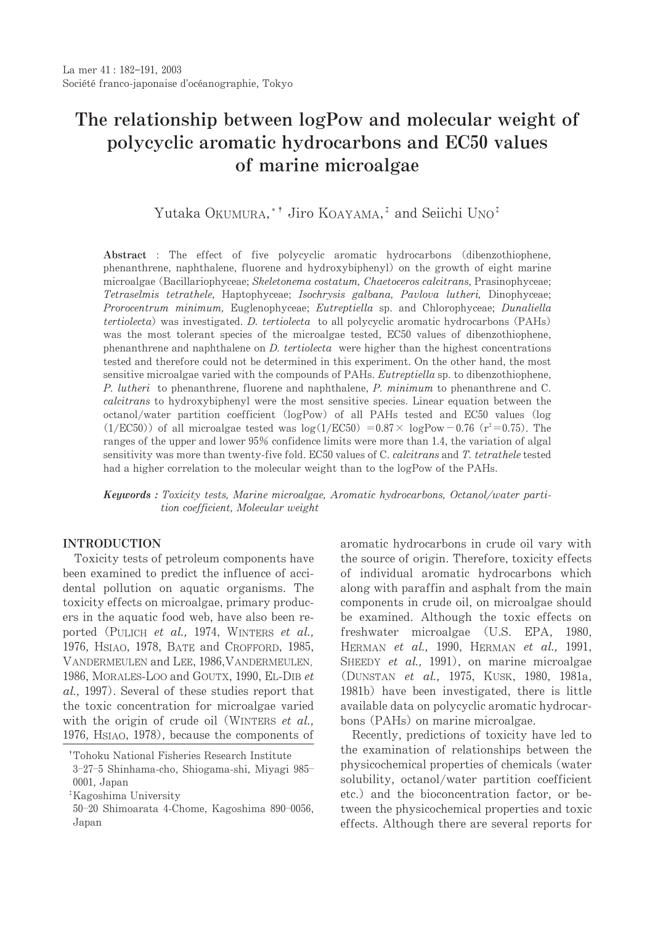# The relationship between logPow and molecular weight of polycyclic aromatic hydrocarbons and EC50 values of marine microalgae

Yutaka OKUMURA, \* Jiro KOAYAMA.<sup>†</sup> and Seiichi UNO<sup>†</sup>

Abstract : The effect of five polycyclic aromatic hydrocarbons (dibenzothiophene, phenanthrene, naphthalene, fluorene and hydroxybiphenyl) on the growth of eight marine microalgae (Bacillariophyceae; Skeletonema costatum, Chaetoceros calcitrans, Prasinophyceae; Tetraselmis tetrathele, Haptophyceae; Isochrysis galbana, Pavlova lutheri, Dinophyceae; Prorocentrum minimum, Euglenophyceae; Eutreptiella sp. and Chlorophyceae; Dunaliella tertiolecta) was investigated. D. tertiolecta to all polycyclic aromatic hydrocarbons (PAHs) was the most tolerant species of the microalgae tested, EC50 values of dibenzothiophene, phenanthrene and naphthalene on *D. tertiolecta* were higher than the highest concentrations tested and therefore could not be determined in this experiment. On the other hand, the most sensitive microalgae varied with the compounds of PAHs. Eutreptiella sp. to dibenzothiophene, P. lutheri to phenanthrene, fluorene and naphthalene, P. minimum to phenanthrene and C. calcitrans to hydroxybiphenyl were the most sensitive species. Linear equation between the octanol/water partition coefficient (logPow) of all PAHs tested and EC50 values (log  $(1/EC50)$  of all microalgae tested was  $log(1/EC50) = 0.87 \times logPow - 0.76$  (r<sup>2</sup>=0.75). The ranges of the upper and lower 95% confidence limits were more than 1.4, the variation of algal sensitivity was more than twenty-five fold. EC50 values of C. calcitrans and T. tetrathele tested had a higher correlation to the molecular weight than to the logPow of the PAHs.

**Keywords**: Toxicity tests, Marine microalgae, Aromatic hydrocarbons, Octanol/water partition coefficient, Molecular weight

# **INTRODUCTION**

Toxicity tests of petroleum components have been examined to predict the influence of accidental pollution on aquatic organisms. The toxicity effects on microalgae, primary producers in the aquatic food web, have also been reported (PULICH et al., 1974, WINTERS et al., 1976, HSIAO, 1978, BATE and CROFFORD, 1985, VANDERMEULEN and LEE, 1986, VANDERMEULEN, 1986, MORALES-LOO and GOUTX, 1990, EL-DIB et al., 1997). Several of these studies report that the toxic concentration for microalgae varied with the origin of crude oil (WINTERS et al., 1976, HSIAO, 1978), because the components of aromatic hydrocarbons in crude oil vary with the source of origin. Therefore, toxicity effects of individual aromatic hydrocarbons which along with paraffin and asphalt from the main components in crude oil, on microalgae should be examined. Although the toxic effects on freshwater microalgae (U.S. EPA, 1980, HERMAN et al., 1990, HERMAN et al., 1991, SHEEDY et al., 1991), on marine microalgae (DUNSTAN et al., 1975, KUSK, 1980, 1981a, 1981b) have been investigated, there is little available data on polycyclic aromatic hydrocarbons (PAHs) on marine microalgae.

Recently, predictions of toxicity have led to the examination of relationships between the physicochemical properties of chemicals (water solubility, octanol/water partition coefficient etc.) and the bioconcentration factor, or between the physicochemical properties and toxic effects. Although there are several reports for

<sup>&</sup>lt;sup>†</sup>Tohoku National Fisheries Research Institute 3-27-5 Shinhama-cho, Shiogama-shi, Miyagi 985-

 $0001$ , Japan

<sup>&</sup>lt;sup>‡</sup>Kagoshima University

<sup>50-20</sup> Shimoarata 4-Chome, Kagoshima 890-0056, Japan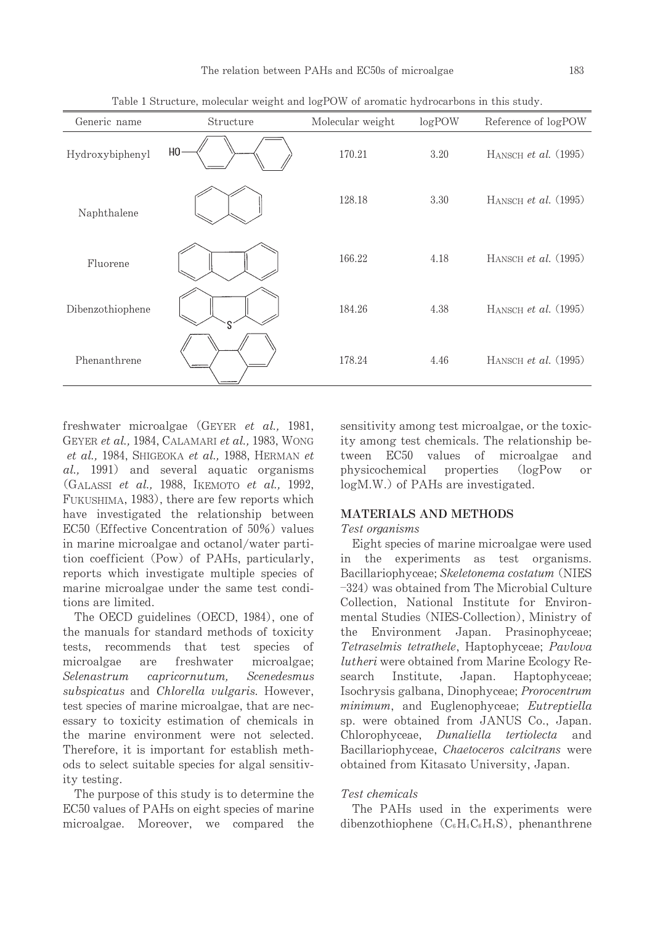| Generic name     | Structure      | Molecular weight | logPOW | Reference of logPOW    |
|------------------|----------------|------------------|--------|------------------------|
| Hydroxybiphenyl  | H <sub>0</sub> | 170.21           | 3.20   | HANSCH et al. $(1995)$ |
| Naphthalene      |                | 128.18           | 3.30   | HANSCH et al. $(1995)$ |
| Fluorene         |                | 166.22           | 4.18   | HANSCH et al. $(1995)$ |
| Dibenzothiophene |                | 184.26           | 4.38   | HANSCH et al. $(1995)$ |
| Phenanthrene     |                | 178.24           | 4.46   | HANSCH et al. $(1995)$ |

Table 1 Structure, molecular weight and logPOW of aromatic hydrocarbons in this study.

freshwater microalgae (GEYER et al., 1981, GEYER et al., 1984, CALAMARI et al., 1983, WONG et al., 1984, SHIGEOKA et al., 1988, HERMAN et al., 1991) and several aquatic organisms (GALASSI et al., 1988, IKEMOTO et al., 1992, FUKUSHIMA, 1983), there are few reports which have investigated the relationship between EC50 (Effective Concentration of 50%) values in marine microalgae and octanol/water partition coefficient (Pow) of PAHs, particularly, reports which investigate multiple species of marine microalgae under the same test conditions are limited.

The OECD guidelines (OECD, 1984), one of the manuals for standard methods of toxicity tests, recommends that test species of microalgae are freshwater microalgae; Selenastrum  $capricor *nutum*,$ Scenedesmus subspicatus and Chlorella vulgaris. However, test species of marine microalgae, that are necessary to toxicity estimation of chemicals in the marine environment were not selected. Therefore, it is important for establish methods to select suitable species for algal sensitivity testing.

The purpose of this study is to determine the EC50 values of PAHs on eight species of marine microalgae. Moreover, we compared the sensitivity among test microalgae, or the toxicity among test chemicals. The relationship between EC50 values of microalgae and physicochemical properties  $(logPow$  $\alpha r$ logM.W.) of PAHs are investigated.

## **MATERIALS AND METHODS**

# Test organisms

Eight species of marine microalgae were used in the experiments as test organisms. Bacillariophyceae: Skeletonema costatum (NIES  $-324$ ) was obtained from The Microbial Culture Collection, National Institute for Environmental Studies (NIES-Collection), Ministry of the Environment Japan. Prasinophyceae; Tetraselmis tetrathele, Haptophyceae; Pavlova *lutheri* were obtained from Marine Ecology Re-Japan. Haptophyceae; search Institute, Isochrysis galbana, Dinophyceae; Prorocentrum *minimum*, and Euglenophyceae; *Eutreptiella* sp. were obtained from JANUS Co., Japan. Chlorophyceae, Dunaliella tertiolecta and Bacillariophyceae, Chaetoceros calcitrans were obtained from Kitasato University, Japan.

### Test chemicals

The PAHs used in the experiments were dibenzothiophene  $(C_6H_4C_6H_4S)$ , phenanthrene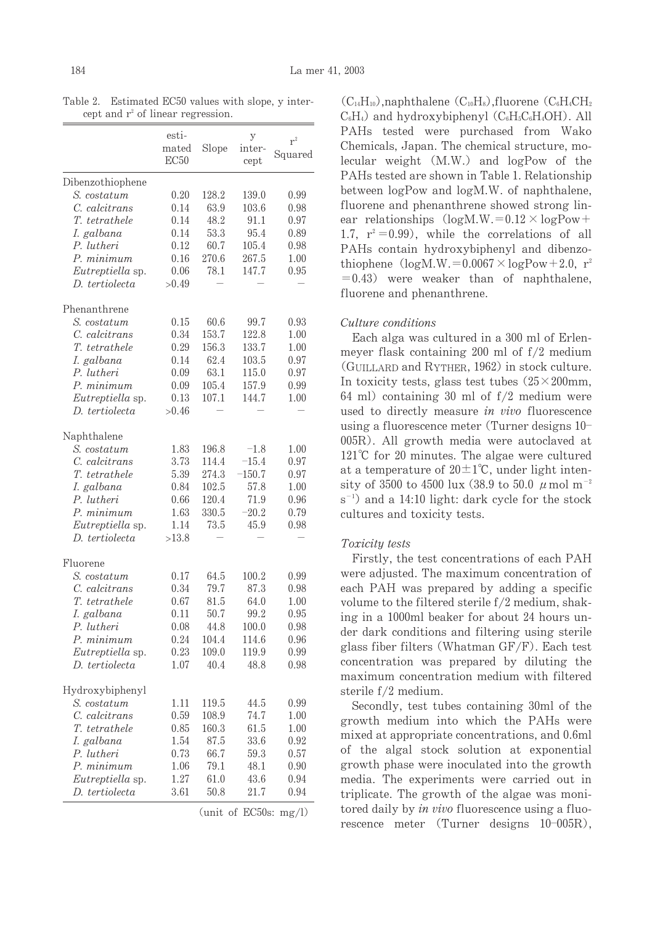|                  | esti-<br>mated<br>EC50 | Slope | у<br>inter-<br>cept | $r^2$<br>Squared |
|------------------|------------------------|-------|---------------------|------------------|
| Dibenzothiophene |                        |       |                     |                  |
| S. costatum      | 0.20                   | 128.2 | 139.0               | 0.99             |
| C. calcitrans    | 0.14                   | 63.9  | 103.6               | 0.98             |
| T. tetrathele    | 0.14                   | 48.2  | 91.1                | 0.97             |
| I. galbana       | 0.14                   | 53.3  | 95.4                | 0.89             |
| P. lutheri       | 0.12                   | 60.7  | 105.4               | 0.98             |
| P. minimum       | 0.16                   | 270.6 | 267.5               | 1.00             |
| Eutreptiella sp. | 0.06                   | 78.1  | 147.7               | 0.95             |
| D. tertiolecta   | >0.49                  |       |                     |                  |
| Phenanthrene     |                        |       |                     |                  |
| S. costatum      | 0.15                   | 60.6  | 99.7                | 0.93             |
| C. calcitrans    | 0.34                   | 153.7 | 122.8               | $1.00\,$         |
| T. tetrathele    | 0.29                   | 156.3 | 133.7               | $1.00\,$         |
| I. galbana       | 0.14                   | 62.4  | 103.5               | 0.97             |
| P. lutheri       | 0.09                   | 63.1  | 115.0               | 0.97             |
| P. minimum       | 0.09                   | 105.4 | 157.9               | 0.99             |
| Eutreptiella sp. | 0.13                   | 107.1 | 144.7               | 1.00             |
| D. tertiolecta   | >0.46                  |       |                     |                  |
| Naphthalene      |                        |       |                     |                  |
| S. costatum      | 1.83                   | 196.8 | $-1.8$              | $1.00\,$         |
| C. calcitrans    | 3.73                   | 114.4 | $-15.4$             | 0.97             |
| T. tetrathele    | 5.39                   | 274.3 | $-150.7$            | 0.97             |
| I. galbana       | 0.84                   | 102.5 | 57.8                | 1.00             |
| P. lutheri       | 0.66                   | 120.4 | 71.9                | 0.96             |
| P. minimum       | 1.63                   | 330.5 | $-20.2$             | 0.79             |
| Eutreptiella sp. | 1.14                   | 73.5  | 45.9                | 0.98             |
| D. tertiolecta   | >13.8                  |       |                     |                  |
| Fluorene         |                        |       |                     |                  |
| S. costatum      | 0.17                   | 64.5  | 100.2               | 0.99             |
| C. calcitrans    | 0.34                   | 79.7  | 87.3                | 0.98             |
| T. tetrathele    | 0.67                   | 81.5  | 64.0                | 1.00             |
| I. galbana       | 0.11                   | 50.7  | 99.2                | 0.95             |
| P. lutheri       | 0.08                   | 44.8  | 100.0               | 0.98             |
| P. minimum       | 0.24                   | 104.4 | 114.6               | 0.96             |
| Eutreptiella sp. | 0.23                   | 109.0 | 119.9               | 0.99             |
| D. tertiolecta   | 1.07                   | 40.4  | 48.8                | 0.98             |
| Hydroxybiphenyl  |                        |       |                     |                  |
| S. costatum      | 1.11                   | 119.5 | 44.5                | 0.99             |
| C. calcitrans    | 0.59                   | 108.9 | 74.7                | 1.00             |
| T. tetrathele    | 0.85                   | 160.3 | 61.5                | 1.00             |
| I. galbana       | 1.54                   | 87.5  | 33.6                | 0.92             |
| P. lutheri       | 0.73                   | 66.7  | 59.3                | 0.57             |
| P. minimum       | 1.06                   | 79.1  | 48.1                | 0.90             |
| Eutreptiella sp. | 1.27                   | 61.0  | 43.6                | 0.94             |
| D. tertiolecta   | 3.61                   | 50.8  | 21.7                | 0.94             |

Table 2. Estimated EC50 values with slope, y intercept and  $r^2$  of linear regression.

(unit of EC50s:  $mg/l$ )

 $(C_{14}H_{10})$ , naphthalene  $(C_{10}H_8)$ , fluorene  $(C_6H_4CH_2)$  $C_6H_4$ ) and hydroxybiphenyl  $(C_6H_5C_6H_4OH)$ . All PAHs tested were purchased from Wako Chemicals, Japan. The chemical structure, molecular weight (M.W.) and logPow of the PAHs tested are shown in Table 1. Relationship between logPow and logM.W. of naphthalene, fluorene and phenanthrene showed strong linear relationships  $(log M.W. = 0.12 \times log Pow +$ 1.7,  $r^2 = 0.99$ , while the correlations of all PAHs contain hydroxybiphenyl and dibenzothiophene  $(\text{log}M.W. = 0.0067 \times \text{log}Pow + 2.0, r^2)$  $= 0.43$ ) were weaker than of naphthalene, fluorene and phenanthrene.

# Culture conditions

Each alga was cultured in a 300 ml of Erlenmeyer flask containing 200 ml of  $f/2$  medium (GUILLARD and RYTHER, 1962) in stock culture. In toxicity tests, glass test tubes  $(25 \times 200)$ mm, 64 ml) containing 30 ml of  $f/2$  medium were used to directly measure in vivo fluorescence using a fluorescence meter (Turner designs 10-005R). All growth media were autoclaved at  $121^{\circ}$ C for 20 minutes. The algae were cultured at a temperature of  $20 \pm 1$ °C, under light intensity of 3500 to 4500 lux (38.9 to 50.0  $\mu$  mol m<sup>-2</sup>  $s^{-1}$ ) and a 14:10 light: dark cycle for the stock cultures and toxicity tests.

# Toxicity tests

Firstly, the test concentrations of each PAH were adjusted. The maximum concentration of each PAH was prepared by adding a specific volume to the filtered sterile f/2 medium, shaking in a 1000ml beaker for about 24 hours under dark conditions and filtering using sterile glass fiber filters (Whatman  $GF/F$ ). Each test concentration was prepared by diluting the maximum concentration medium with filtered sterile f/2 medium.

Secondly, test tubes containing 30ml of the growth medium into which the PAHs were mixed at appropriate concentrations, and 0.6ml of the algal stock solution at exponential growth phase were inoculated into the growth media. The experiments were carried out in triplicate. The growth of the algae was monitored daily by in vivo fluorescence using a fluorescence meter (Turner designs  $10-005R$ ),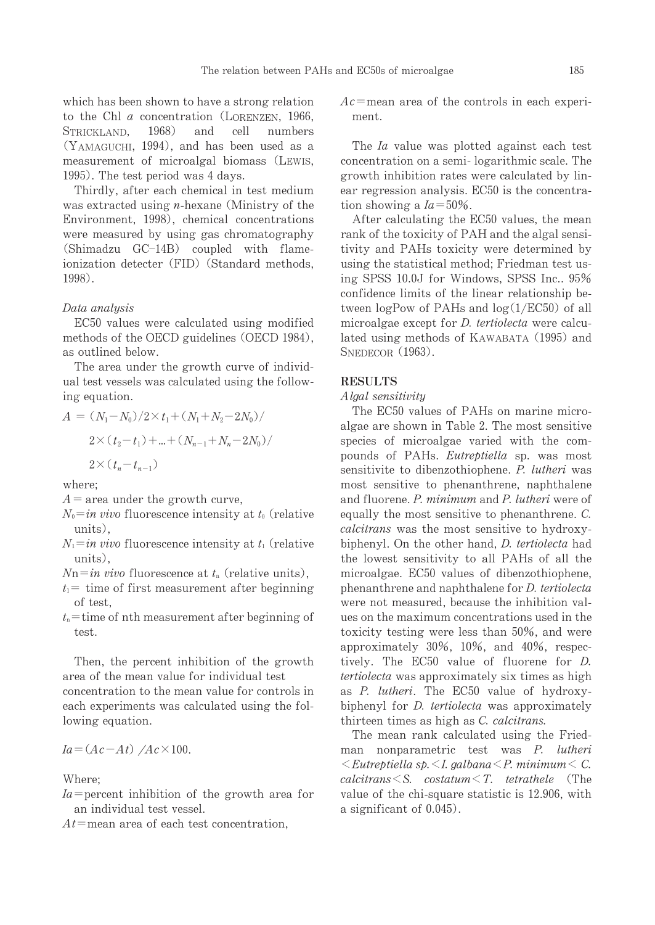which has been shown to have a strong relation to the Chl  $a$  concentration (LORENZEN, 1966,  $1968$ ) and cell numbers STRICKLAND. (YAMAGUCHI, 1994), and has been used as a measurement of microalgal biomass (LEWIS, 1995). The test period was 4 days.

Thirdly, after each chemical in test medium was extracted using  $n$ -hexane (Ministry of the Environment, 1998), chemical concentrations were measured by using gas chromatography (Shimadzu GC-14B) coupled with flameionization detecter (FID) (Standard methods, 1998)

#### Data analysis

EC50 values were calculated using modified methods of the OECD guidelines (OECD 1984), as outlined below.

The area under the growth curve of individual test vessels was calculated using the following equation.

$$
A = (N_1 - N_0)/2 \times t_1 + (N_1 + N_2 - 2N_0) /
$$
  
2 $\times (t_2 - t_1) + ... + (N_{n-1} + N_n - 2N_0) /$   
2 $\times (t_n - t_{n-1})$ 

where:

 $A$  = area under the growth curve,

- $N_0 = in$  vivo fluorescence intensity at  $t_0$  (relative units).
- $N_1 = in$  vivo fluorescence intensity at  $t_1$  (relative units).
- $N_n = in$  vivo fluorescence at  $t_n$  (relative units),
- $t_1$  = time of first measurement after beginning of test,
- $t_n$ = time of nth measurement after beginning of test.

Then, the percent inhibition of the growth area of the mean value for individual test concentration to the mean value for controls in each experiments was calculated using the following equation.

$$
Ia = (Ac - At) / Ac \times 100.
$$

Where:

- $Ia$ =percent inhibition of the growth area for an individual test vessel.
- $At =$  mean area of each test concentration.

 $Ac$ =mean area of the controls in each experiment.

The *Ia* value was plotted against each test concentration on a semi-logarithmic scale. The growth inhibition rates were calculated by linear regression analysis. EC50 is the concentration showing a  $Ia = 50\%$ .

After calculating the EC50 values, the mean rank of the toxicity of PAH and the algal sensitivity and PAHs toxicity were determined by using the statistical method; Friedman test using SPSS 10.0J for Windows, SPSS Inc., 95% confidence limits of the linear relationship between logPow of PAHs and  $log(1/EC50)$  of all microalgae except for *D. tertiolecta* were calculated using methods of KAWABATA (1995) and SNEDECOR (1963).

#### **RESULTS**

#### Algal sensitivity

The EC50 values of PAHs on marine microalgae are shown in Table 2. The most sensitive species of microalgae varied with the compounds of PAHs. Eutreptiella sp. was most sensitivite to dibenzothiophene. P. lutheri was most sensitive to phenanthrene, naphthalene and fluorene. P. minimum and P. lutheri were of equally the most sensitive to phenanthrene. C. *calcitrans* was the most sensitive to hydroxybiphenyl. On the other hand, *D. tertiolecta* had the lowest sensitivity to all PAHs of all the microalgae. EC50 values of dibenzothiophene, phenanthrene and naphthalene for *D. tertiolecta* were not measured, because the inhibition values on the maximum concentrations used in the toxicity testing were less than 50%, and were approximately 30%, 10%, and 40%, respectively. The EC50 value of fluorene for D. *tertiolecta* was approximately six times as high as P. lutheri. The EC50 value of hydroxybiphenyl for *D. tertiolecta* was approximately thirteen times as high as C. calcitrans.

The mean rank calculated using the Friedman nonparametric test was P. lutheri  $\leq$ Eutreptiella sp. $\leq$ I. galbana $\leq$ P. minimum $\leq$ C. calcitrans  $\leq$ S. costatum $\leq$ T. tetrathele (The value of the chi-square statistic is 12.906, with a significant of 0.045).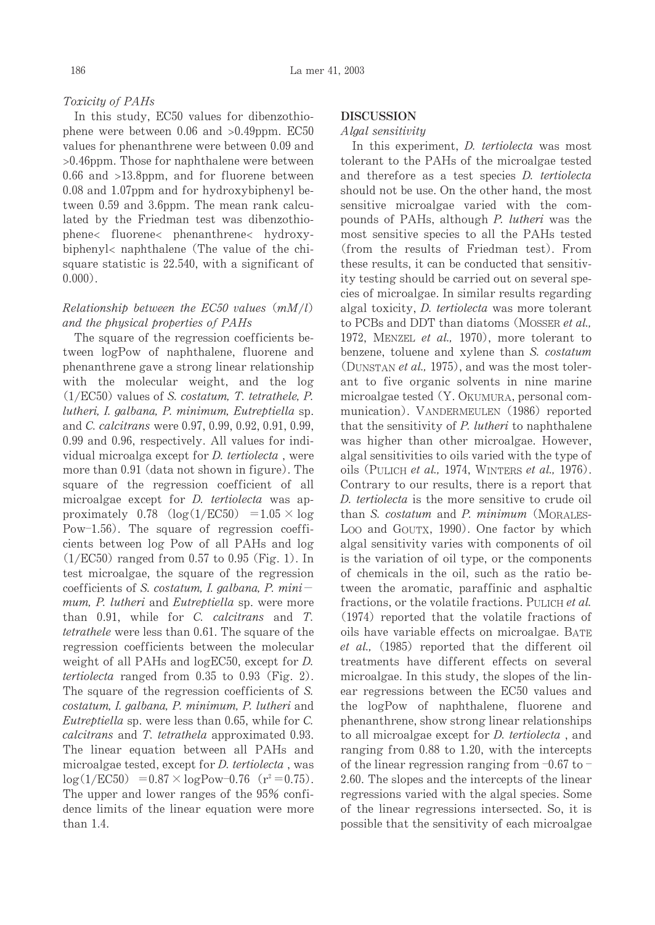#### Toxicity of PAHs

In this study, EC50 values for dibenzothiophene were between  $0.06$  and  $>0.49$ ppm. EC50 values for phenanthrene were between 0.09 and  $>0.46$ ppm. Those for naphthalene were between  $0.66$  and  $>13.8$ ppm, and for fluorene between 0.08 and 1.07ppm and for hydroxybiphenyl between 0.59 and 3.6ppm. The mean rank calculated by the Friedman test was dibenzothiophene< fluorene< phenanthrene< hydroxybiphenyl< naphthalene (The value of the chisquare statistic is 22.540, with a significant of  $0.000$ ).

# Relationship between the EC50 values  $(mM/l)$ and the physical properties of PAHs

The square of the regression coefficients between logPow of naphthalene, fluorene and phenanthrene gave a strong linear relationship with the molecular weight, and the log  $(1/EC50)$  values of S. costatum, T. tetrathele, P. lutheri, I. galbana, P. minimum, Eutreptiella sp. and C. calcitrans were 0.97, 0.99, 0.92, 0.91, 0.99, 0.99 and 0.96, respectively. All values for individual microalga except for *D. tertiolecta*, were more than 0.91 (data not shown in figure). The square of the regression coefficient of all microalgae except for *D. tertiolecta* was approximately  $0.78 \left(\log(1/\text{EC50})\right) = 1.05 \times \log$ Pow-1.56). The square of regression coefficients between log Pow of all PAHs and log  $(1/EC50)$  ranged from 0.57 to 0.95 (Fig. 1). In test microalgae, the square of the regression coefficients of S. costatum, I. galbana, P. minimum, P. lutheri and Eutreptiella sp. were more than 0.91, while for C. calcitrans and T. tetrathele were less than 0.61. The square of the regression coefficients between the molecular weight of all PAHs and  $logEC50$ , except for D. *tertiolecta* ranged from  $0.35$  to  $0.93$  (Fig. 2). The square of the regression coefficients of S. costatum, I. galbana, P. minimum, P. lutheri and *Eutreptiella* sp. were less than 0.65, while for C. calcitrans and T. tetrathela approximated 0.93. The linear equation between all PAHs and microalgae tested, except for *D. tertiolecta*, was  $log(1/EC50)$  = 0.87  $\times$  logPow-0.76 (r<sup>2</sup> = 0.75). The upper and lower ranges of the 95% confidence limits of the linear equation were more than  $1.4$ .

#### **DISCUSSION**

#### Algal sensitivity

In this experiment, *D. tertiolecta* was most tolerant to the PAHs of the microalgae tested and therefore as a test species *D. tertiolecta* should not be use. On the other hand, the most sensitive microalgae varied with the compounds of PAHs, although P. lutheri was the most sensitive species to all the PAHs tested (from the results of Friedman test). From these results, it can be conducted that sensitivity testing should be carried out on several species of microalgae. In similar results regarding algal toxicity, *D. tertiolecta* was more tolerant to PCBs and DDT than diatoms (MOSSER et al., 1972, MENZEL et al., 1970), more tolerant to benzene, toluene and xylene than S. costatum (DUNSTAN et al., 1975), and was the most tolerant to five organic solvents in nine marine microalgae tested (Y. OKUMURA, personal communication). VANDERMEULEN (1986) reported that the sensitivity of P. lutheri to naphthalene was higher than other microalgae. However, algal sensitivities to oils varied with the type of oils (PULICH et al., 1974, WINTERS et al., 1976). Contrary to our results, there is a report that D. tertiolecta is the more sensitive to crude oil than S. costatum and P. minimum (MORALES-Loo and GOUTX, 1990). One factor by which algal sensitivity varies with components of oil is the variation of oil type, or the components of chemicals in the oil, such as the ratio between the aromatic, paraffinic and asphaltic fractions, or the volatile fractions. PULICH et al. (1974) reported that the volatile fractions of oils have variable effects on microalgae. BATE *et al.*, (1985) reported that the different oil treatments have different effects on several microalgae. In this study, the slopes of the linear regressions between the EC50 values and the logPow of naphthalene, fluorene and phenanthrene, show strong linear relationships to all microalgae except for *D. tertiolecta*, and ranging from  $0.88$  to 1.20, with the intercepts of the linear regression ranging from  $-0.67$  to  $-$ 2.60. The slopes and the intercepts of the linear regressions varied with the algal species. Some of the linear regressions intersected. So, it is possible that the sensitivity of each microalgae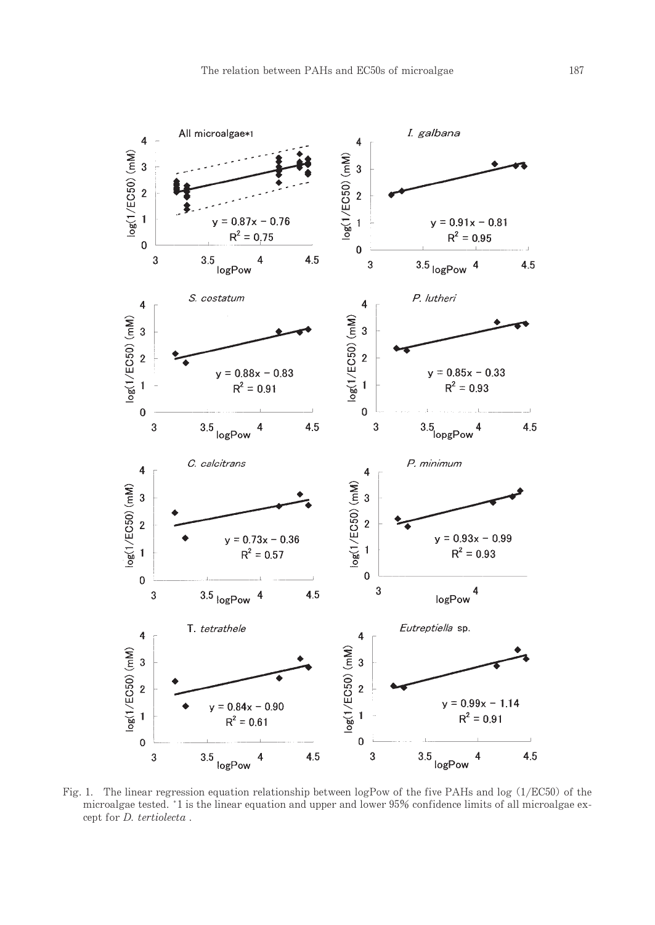

Fig. 1. The linear regression equation relationship between  $logPow$  of the five PAHs and  $log(1/EC50)$  of the microalgae tested. \*1 is the linear equation and upper and lower 95% confidence limits of all microalgae except for *D. tertiolecta*.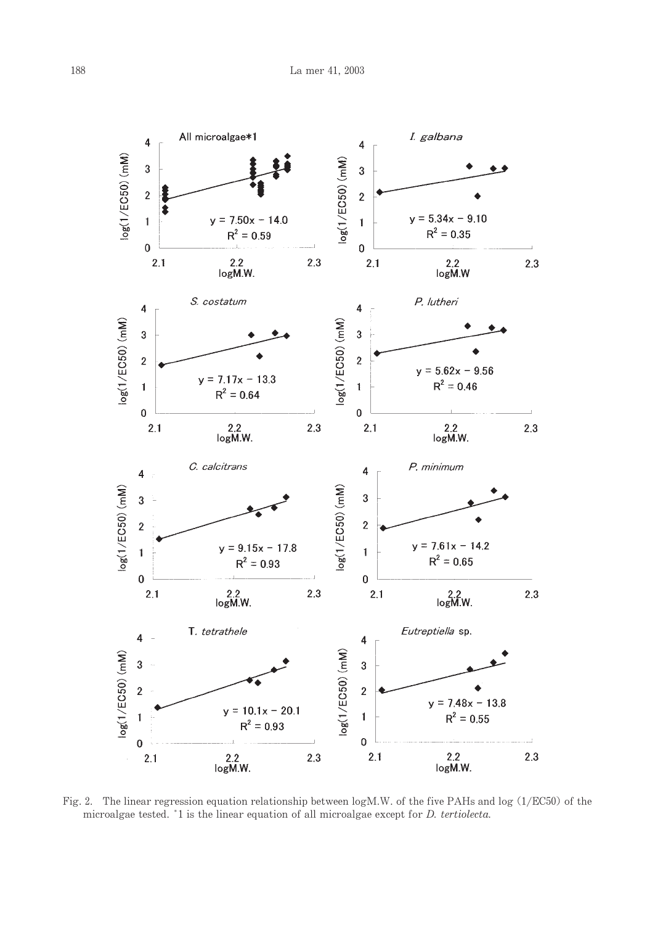

Fig. 2. The linear regression equation relationship between logM.W. of the five PAHs and log (1/EC50) of the microalgae tested. \*1 is the linear equation of all microalgae except for *D. tertiolecta*.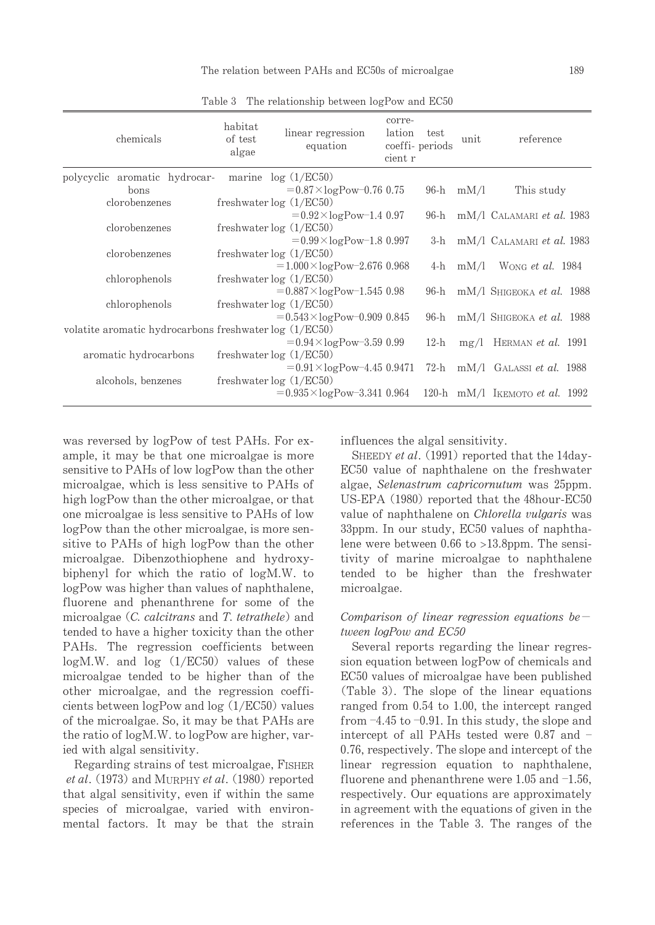| chemicals                                               | habitat<br>of test<br>algae | linear regression<br>equation                   | corre-<br>lation<br>coeffi- periods<br>cient r | test   | unit        | reference                              |
|---------------------------------------------------------|-----------------------------|-------------------------------------------------|------------------------------------------------|--------|-------------|----------------------------------------|
| polycyclic aromatic hydrocar-                           |                             | marine $log(1/EC50)$                            |                                                |        |             |                                        |
| bons                                                    |                             | $= 0.87 \times \log \text{Pow} - 0.76$ 0.75     |                                                |        | $96-h$ mM/l | This study                             |
| clorobenzenes                                           |                             | freshwater log (1/EC50)                         |                                                |        |             |                                        |
|                                                         |                             | $=0.92\times\log\gamma$ ow-1.40.97              |                                                |        |             | 96-h mM/l CALAMARI et al. 1983         |
| clorobenzenes                                           |                             | freshwater $log(1/EC50)$                        |                                                |        |             |                                        |
|                                                         |                             | $=0.99\times\log\gamma$ ow-1.80.997             |                                                |        |             | 3-h $mM/l$ CALAMARI <i>et al.</i> 1983 |
| clorobenzenes                                           |                             | freshwater $log(1/EC50)$                        |                                                |        |             |                                        |
|                                                         |                             | $=1.000\times\log\gamma$ Pow-2.676 0.968        |                                                |        |             | 4-h $mM/l$ Wong <i>et al.</i> 1984     |
| chlorophenols                                           |                             | freshwater $log(1/EC50)$                        |                                                |        |             |                                        |
|                                                         |                             | $= 0.887 \times logPow-1.545 0.98$              |                                                | 96-h   |             | $mM/l$ Shigeoka et al. 1988            |
| chlorophenols                                           |                             | freshwater $log(1/EC50)$                        |                                                |        |             |                                        |
|                                                         |                             | $= 0.543 \times \log \text{Pow} - 0.909 0.845$  |                                                | 96-h   |             | $mM/l$ Shigeoka et al. 1988            |
| volatite aromatic hydrocarbons freshwater $log(1/EC50)$ |                             |                                                 |                                                |        |             |                                        |
|                                                         |                             | $= 0.94 \times logPow - 3.59 0.99$              |                                                | $12-h$ |             | $mg/l$ HERMAN <i>et al.</i> 1991       |
| aromatic hydrocarbons                                   |                             | freshwater $log(1/EC50)$                        |                                                |        |             |                                        |
|                                                         |                             | $= 0.91 \times \log \text{Pow} - 4.45\ 0.9471$  |                                                |        |             | 72-h $mM/l$ GALASSI <i>et al.</i> 1988 |
| alcohols, benzenes                                      |                             | freshwater $log(1/EC50)$                        |                                                |        |             |                                        |
|                                                         |                             | $= 0.935 \times \log \text{Pow} - 3.341\ 0.964$ |                                                |        |             | 120-h mM/l IKEMOTO et al. 1992         |

Table 3 The relationship between logPow and EC50

was reversed by logPow of test PAHs. For example, it may be that one microalgae is more sensitive to PAHs of low logPow than the other microalgae, which is less sensitive to PAHs of high logPow than the other microalgae, or that one microalgae is less sensitive to PAHs of low logPow than the other microalgae, is more sensitive to PAHs of high logPow than the other microalgae. Dibenzothiophene and hydroxybiphenyl for which the ratio of logM.W. to logPow was higher than values of naphthalene, fluorene and phenanthrene for some of the microalgae (C. calcitrans and T. tetrathele) and tended to have a higher toxicity than the other PAHs. The regression coefficients between  $log M.W.$  and  $log (1/EC50)$  values of these microalgae tended to be higher than of the other microalgae, and the regression coefficients between  $logPow$  and  $log(1/EC50)$  values of the microalgae. So, it may be that PAHs are the ratio of logM.W. to logPow are higher, varied with algal sensitivity.

Regarding strains of test microalgae, FISHER et al. (1973) and MURPHY et al. (1980) reported that algal sensitivity, even if within the same species of microalgae, varied with environmental factors. It may be that the strain influences the algal sensitivity.

SHEEDY et al. (1991) reported that the 14day-EC50 value of naphthalene on the freshwater algae, Selenastrum capricornutum was 25ppm. US-EPA (1980) reported that the 48hour-EC50 value of naphthalene on *Chlorella vulgaris* was 33ppm. In our study, EC50 values of naphthalene were between  $0.66$  to  $>13.8$ ppm. The sensitivity of marine microalgae to naphthalene tended to be higher than the freshwater microalgae.

# Comparison of linear regression equations between logPow and EC50

Several reports regarding the linear regression equation between logPow of chemicals and EC50 values of microalgae have been published (Table 3). The slope of the linear equations ranged from 0.54 to 1.00, the intercept ranged from  $-4.45$  to  $-0.91$ . In this study, the slope and intercept of all PAHs tested were 0.87 and -0.76, respectively. The slope and intercept of the linear regression equation to naphthalene, fluorene and phenanthrene were  $1.05$  and  $-1.56$ . respectively. Our equations are approximately in agreement with the equations of given in the references in the Table 3. The ranges of the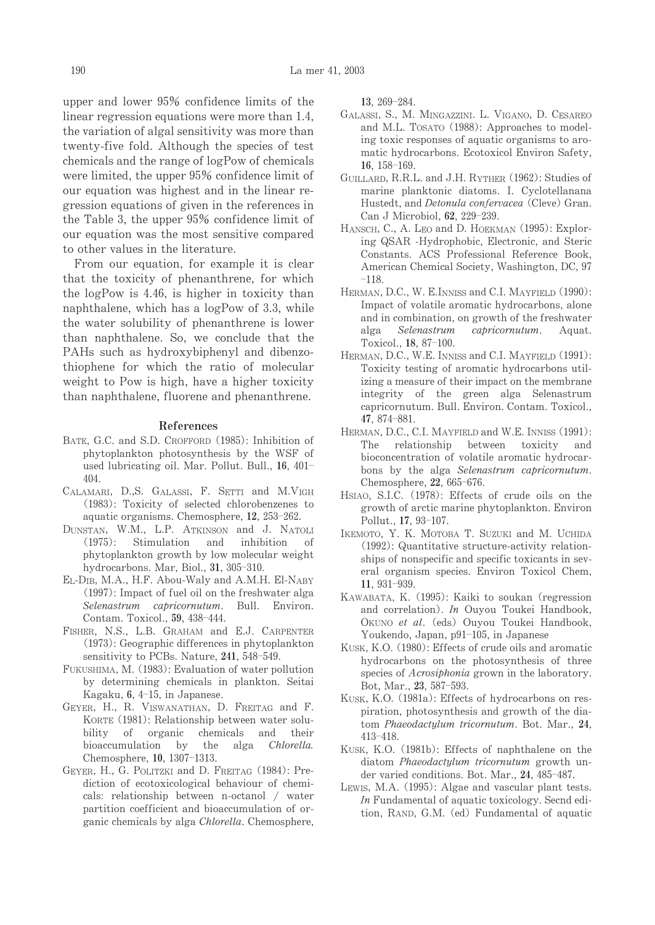upper and lower 95% confidence limits of the linear regression equations were more than 1.4. the variation of algal sensitivity was more than twenty-five fold. Although the species of test chemicals and the range of logPow of chemicals were limited, the upper 95% confidence limit of our equation was highest and in the linear regression equations of given in the references in the Table 3, the upper 95% confidence limit of our equation was the most sensitive compared to other values in the literature.

From our equation, for example it is clear that the toxicity of phenanthrene, for which the logPow is 4.46, is higher in toxicity than naphthalene, which has a logPow of 3.3, while the water solubility of phenanthrene is lower than naphthalene. So, we conclude that the PAHs such as hydroxybiphenyl and dibenzothiophene for which the ratio of molecular weight to Pow is high, have a higher toxicity than naphthalene, fluorene and phenanthrene.

#### References

- BATE, G.C. and S.D. CROFFORD (1985): Inhibition of phytoplankton photosynthesis by the WSF of used lubricating oil. Mar. Pollut. Bull., 16, 401- $404.$
- CALAMARI, D.,S. GALASSI, F. SETTI and M.VIGH (1983): Toxicity of selected chlorobenzenes to aquatic organisms. Chemosphere, 12, 253-262.
- DUNSTAN, W.M., L.P. ATKINSON and J. NATOLI  $(1975)$ : Stimulation and inhibition of phytoplankton growth by low molecular weight hydrocarbons. Mar, Biol., 31, 305-310.
- EL-DIB, M.A., H.F. Abou-Waly and A.M.H. El-NABY (1997): Impact of fuel oil on the freshwater alga Selenastrum capricornutum. Bull. Environ. Contam. Toxicol., 59, 438-444.
- FISHER, N.S., L.B. GRAHAM and E.J. CARPENTER (1973): Geographic differences in phytoplankton sensitivity to PCBs. Nature, 241, 548-549.
- FUKUSHIMA, M. (1983): Evaluation of water pollution by determining chemicals in plankton. Seitai Kagaku, 6, 4-15, in Japanese.
- GEYER, H., R. VISWANATHAN, D. FREITAG and F. KORTE (1981): Relationship between water solubility of organic chemicals and their bioaccumulation by the alga Chlorella. Chemosphere, 10, 1307-1313.
- GEYER, H., G. POLITZKI and D. FREITAG (1984): Prediction of ecotoxicological behaviour of chemicals: relationship between n-octanol / water partition coefficient and bioaccumulation of organic chemicals by alga Chlorella. Chemosphere,

13. 269-284.

- GALASSI, S., M. MINGAZZINI. L. VIGANO, D. CESAREO and M.L. TOSATO (1988): Approaches to modeling toxic responses of aquatic organisms to aromatic hydrocarbons. Ecotoxicol Environ Safety, 16,  $158-169$ .
- GUILLARD, R.R.L. and J.H. RYTHER (1962): Studies of marine planktonic diatoms. I. Cyclotellanana Hustedt, and Detonula confervacea (Cleve) Gran. Can J Microbiol, 62, 229-239.
- HANSCH, C., A. LEO and D. HOEKMAN (1995): Exploring QSAR -Hydrophobic, Electronic, and Steric Constants. ACS Professional Reference Book, American Chemical Society, Washington, DC, 97  $-118.$
- HERMAN, D.C., W. E.INNISS and C.I. MAYFIELD (1990): Impact of volatile aromatic hydrocarbons, alone and in combination, on growth of the freshwater alga Selenastrum capricornutum. Aquat Toxicol., 18, 87-100.
- HERMAN, D.C., W.E. INNISS and C.I. MAYFIELD (1991): Toxicity testing of aromatic hydrocarbons utilizing a measure of their impact on the membrane integrity of the green alga Selenastrum capricornutum. Bull. Environ. Contam. Toxicol., 47, 874-881.
- HERMAN, D.C., C.I. MAYFIELD and W.E. INNISS (1991): relationship between toxicity The and bioconcentration of volatile aromatic hydrocarbons by the alga Selenastrum capricornutum. Chemosphere, 22, 665-676.
- HSIAO, S.I.C. (1978): Effects of crude oils on the growth of arctic marine phytoplankton. Environ Pollut., 17, 93-107.
- IKEMOTO, Y. K. MOTOBA T. SUZUKI and M. UCHIDA (1992): Quantitative structure-activity relationships of nonspecific and specific toxicants in several organism species. Environ Toxicol Chem, 11, 931-939.
- KAWABATA, K. (1995): Kaiki to soukan (regression and correlation). In Ouyou Toukei Handbook, OKUNO et al. (eds) Ouyou Toukei Handbook, Youkendo, Japan, p91-105, in Japanese
- KUSK, K.O. (1980): Effects of crude oils and aromatic hydrocarbons on the photosynthesis of three species of *Acrosiphonia* grown in the laboratory. Bot, Mar., 23, 587-593.
- KUSK, K.O. (1981a): Effects of hydrocarbons on respiration, photosynthesis and growth of the diatom Phaeodactylum tricornutum. Bot. Mar., 24,  $413 - 418.$
- KUSK, K.O. (1981b): Effects of naphthalene on the diatom Phaeodactulum tricornutum growth under varied conditions. Bot. Mar., 24, 485-487.
- LEWIS, M.A. (1995): Algae and vascular plant tests. In Fundamental of aquatic toxicology. Secnd edition, RAND, G.M. (ed) Fundamental of aquatic